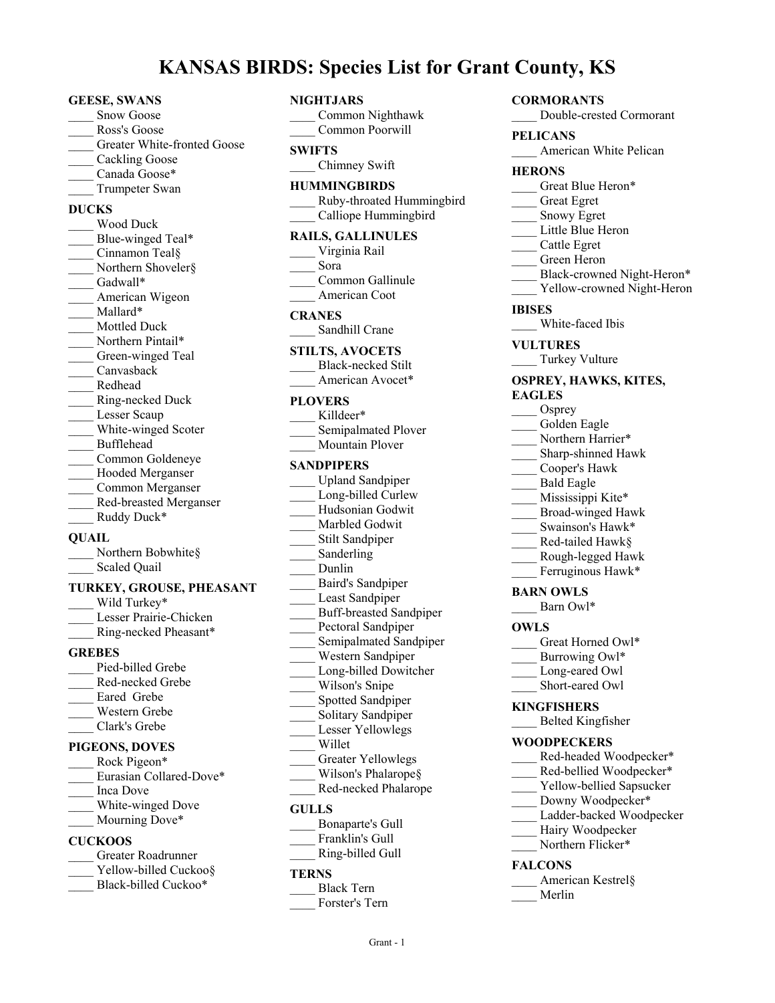## **KANSAS BIRDS: Species List for Grant County, KS**

#### **GEESE, SWANS**

- Snow Goose
- \_\_\_\_ Ross's Goose
- Greater White-fronted Goose
- Cackling Goose
- Canada Goose\*
- \_\_\_\_ Trumpeter Swan

#### **DUCKS**

\_\_\_\_ Wood Duck Blue-winged Teal\* Cinnamon Teal§ Northern Shoveler§ Gadwall\* American Wigeon Mallard\* \_\_\_\_ Mottled Duck Northern Pintail\* Green-winged Teal \_\_\_\_ Canvasback \_\_\_\_ Redhead \_\_\_\_ Ring-necked Duck Lesser Scaup White-winged Scoter \_\_\_\_ Bufflehead \_\_\_\_ Common Goldeneye Hooded Merganser \_\_\_\_ Common Merganser \_\_\_\_ Red-breasted Merganser Ruddy Duck\* **QUAIL** Northern Bobwhite§ Scaled Quail **TURKEY, GROUSE, PHEASANT**

- Wild Turkey\* Lesser Prairie-Chicken Ring-necked Pheasant\* **GREBES** Pied-billed Grebe \_\_\_\_ Red-necked Grebe Eared Grebe \_\_\_\_ Western Grebe \_\_\_\_ Clark's Grebe **PIGEONS, DOVES** Rock Pigeon\*
- Eurasian Collared-Dove\*
- \_\_\_\_ Inca Dove
- \_\_\_\_ White-winged Dove
- Mourning Dove\*

#### **CUCKOOS**

- \_\_\_\_ Greater Roadrunner
- Yellow-billed Cuckoo§
- Black-billed Cuckoo\*

#### **NIGHTJARS**

\_\_\_\_ Common Nighthawk \_\_\_\_ Common Poorwill

#### **SWIFTS**

\_\_\_\_ Chimney Swift

#### **HUMMINGBIRDS**

\_\_\_\_ Ruby-throated Hummingbird \_\_\_\_ Calliope Hummingbird

#### **RAILS, GALLINULES**

\_\_\_\_ Virginia Rail \_\_\_\_ Sora Common Gallinule American Coot

#### **CRANES**

\_\_\_\_ Sandhill Crane

#### **STILTS, AVOCETS** Black-necked Stilt American Avocet\*

#### **PLOVERS**

Killdeer\* Semipalmated Plover \_\_\_\_ Mountain Plover

#### **SANDPIPERS**

- \_\_\_\_ Upland Sandpiper Long-billed Curlew \_\_\_\_ Hudsonian Godwit Marbled Godwit Stilt Sandpiper Sanderling \_\_\_\_ Dunlin \_\_\_\_ Baird's Sandpiper Least Sandpiper \_\_\_\_ Buff-breasted Sandpiper Pectoral Sandpiper Semipalmated Sandpiper \_\_\_\_ Western Sandpiper Long-billed Dowitcher Wilson's Snipe
- Spotted Sandpiper Solitary Sandpiper
- Lesser Yellowlegs
- \_\_\_\_ Willet
- Greater Yellowlegs
- Wilson's Phalarope§
- \_\_\_\_ Red-necked Phalarope

#### **GULLS**

- \_\_\_\_ Bonaparte's Gull
- Franklin's Gull
- \_\_\_\_ Ring-billed Gull

#### **TERNS**

\_\_\_\_ Black Tern Forster's Tern

# **CORMORANTS**

\_\_\_\_ Double-crested Cormorant

#### **PELICANS**

American White Pelican

#### **HERONS**

- Great Blue Heron\*
- \_\_\_\_ Great Egret
- \_\_\_\_ Snowy Egret
- Little Blue Heron
- \_\_\_\_ Cattle Egret
- \_\_\_\_ Green Heron
- Black-crowned Night-Heron\*
- Yellow-crowned Night-Heron

#### **IBISES**

White-faced Ibis

#### **VULTURES**

Turkey Vulture

#### **OSPREY, HAWKS, KITES, EAGLES**

- Osprey
- Golden Eagle
- Northern Harrier\*
- Sharp-shinned Hawk
- \_\_\_\_ Cooper's Hawk
- \_\_\_\_ Bald Eagle
- Mississippi Kite\*
- \_\_\_\_ Broad-winged Hawk
- Swainson's Hawk\*
- \_\_\_\_ Red-tailed Hawk§
- \_\_\_\_ Rough-legged Hawk
- Ferruginous Hawk\*

#### **BARN OWLS**

Barn Owl\*

#### **OWLS**

- Great Horned Owl\*
- Burrowing Owl\*
- Long-eared Owl
- Short-eared Owl

#### **KINGFISHERS**

\_\_\_\_ Belted Kingfisher

#### **WOODPECKERS**

- Red-headed Woodpecker\*
- Red-bellied Woodpecker\*
- Yellow-bellied Sapsucker
- Downy Woodpecker\*
- Ladder-backed Woodpecker Hairy Woodpecker
- Northern Flicker\*

#### **FALCONS**

- American Kestrel§
- \_\_\_\_ Merlin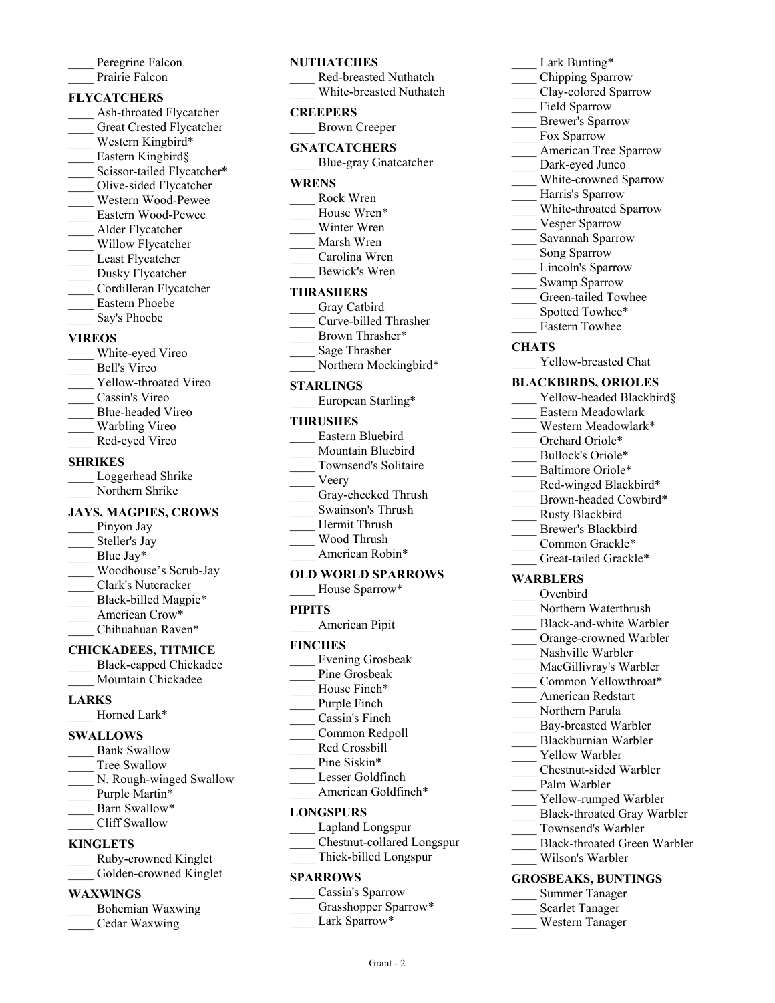| Peregrine Falcon |
|------------------|
| Prairie Falcon   |

#### **FLYCATCHERS**

- Ash-throated Flycatcher Great Crested Flycatcher Western Kingbird\* Eastern Kingbird§ Scissor-tailed Flycatcher\* \_\_\_\_ Olive-sided Flycatcher \_\_\_\_ Western Wood-Pewee \_\_\_\_ Eastern Wood-Pewee
- \_\_\_\_ Alder Flycatcher
- Willow Flycatcher
- Least Flycatcher
- Dusky Flycatcher
- \_\_\_\_ Cordilleran Flycatcher
- \_\_\_\_ Eastern Phoebe
- Say's Phoebe

#### **VIREOS**

- White-eyed Vireo
- \_\_\_\_ Bell's Vireo
- Yellow-throated Vireo
- \_\_\_\_ Cassin's Vireo
- \_\_\_\_ Blue-headed Vireo
- Warbling Vireo
- \_\_\_\_ Red-eyed Vireo

#### **SHRIKES**

Loggerhead Shrike Northern Shrike

#### **JAYS, MAGPIES, CROWS**

- Pinyon Jay Steller's Jay Blue Jay\* \_\_\_\_ Woodhouse's Scrub-Jay \_\_\_\_ Clark's Nutcracker Black-billed Magpie\* American Crow\*
- Chihuahuan Raven\*

### **CHICKADEES, TITMICE**

- \_\_\_\_ Black-capped Chickadee
- Mountain Chickadee

#### **LARKS**

\_\_\_\_ Horned Lark\*

#### **SWALLOWS**

Bank Swallow Tree Swallow N. Rough-winged Swallow Purple Martin\* Barn Swallow\* Cliff Swallow **KINGLETS**

# \_\_\_\_ Ruby-crowned Kinglet

#### **WAXWlNGS**

| Bohemian Waxwing |
|------------------|
| Cedar Waxwing    |

#### **NUTHATCHES**

| T.<br>111111 UHLV       |
|-------------------------|
| Red-breasted Nuthatch   |
| White-breasted Nuthatch |
| <b>CREEPERS</b>         |
| <b>Brown Creeper</b>    |
| GNATCATCHERS            |
| Blue-gray Gnatcatcher   |
| WRENS                   |
| Rock Wren               |
| House Wren*             |
| Winter Wren             |
| Marsh Wren              |
| Carolina Wren           |
| Bewick's Wren           |
| THRASHERS               |
| Gray Catbird            |
| Curve-billed Thrasher   |
| Brown Thrasher*         |
| 0 - - - Thurs - 1 -     |

- \_\_\_\_ Sage Thrasher
	- Northern Mockingbird\*

#### **STARLINGS**

European Starling\*

#### **THRUSHES**

- \_\_\_\_ Eastern Bluebird \_\_\_\_ Mountain Bluebird Townsend's Solitaire
- \_\_\_\_ Veery
- Gray-cheeked Thrush
- \_\_\_\_ Swainson's Thrush
- \_\_\_\_ Hermit Thrush
- \_\_\_\_ Wood Thrush
- American Robin\*

#### **OLD WORLD SPARROWS**

| House Sparrow* |
|----------------|
|----------------|

#### **PIPITS**

\_\_\_\_ American Pipit

#### **FINCHES**

- \_\_\_\_ Evening Grosbeak
- Pine Grosbeak
- House Finch\*
- Purple Finch \_\_\_\_ Cassin's Finch
- Common Redpoll
- \_\_\_\_ Red Crossbill
- Pine Siskin\*
	- Lesser Goldfinch
- American Goldfinch\*

#### **LONGSPURS**

- \_\_\_\_ Lapland Longspur
	- \_\_\_\_ Chestnut-collared Longspur
	- \_\_\_\_ Thick-billed Longspur

#### **SPARROWS**

- Cassin's Sparrow
- Grasshopper Sparrow\*

Grant - 2

Lark Sparrow\*

#### Lark Bunting\*

- \_\_\_\_ Chipping Sparrow
- Clay-colored Sparrow
- Field Sparrow
- \_\_\_\_ Brewer's Sparrow
- Fox Sparrow
- American Tree Sparrow
- Dark-eyed Junco
- White-crowned Sparrow
- \_\_\_\_ Harris's Sparrow
- White-throated Sparrow
- Vesper Sparrow
- \_\_\_\_ Savannah Sparrow
- Song Sparrow
- Lincoln's Sparrow
- Swamp Sparrow
- Green-tailed Towhee
- Spotted Towhee\*
- \_\_\_\_ Eastern Towhee

#### **CHATS**

Yellow-breasted Chat

#### **BLACKBIRDS, ORIOLES**

- Yellow-headed Blackbird§
- \_\_\_\_ Eastern Meadowlark
- Western Meadowlark\*
- Orchard Oriole\*
- Bullock's Oriole\*
- Baltimore Oriole\*

**WARBLERS** \_\_\_\_ Ovenbird

Red-winged Blackbird\* Brown-headed Cowbird\*

> Northern Waterthrush Black-and-white Warbler \_\_\_\_ Orange-crowned Warbler Nashville Warbler MacGillivray's Warbler Common Yellowthroat\* \_\_\_\_ American Redstart Northern Parula Bay-breasted Warbler \_\_\_\_ Blackburnian Warbler Yellow Warbler \_\_\_\_ Chestnut-sided Warbler

Palm Warbler

Yellow-rumped Warbler \_\_\_\_ Black-throated Gray Warbler

\_\_\_\_ Black-throated Green Warbler

\_\_\_\_ Townsend's Warbler

\_\_\_\_ Wilson's Warbler **GROSBEAKS, BUNTINGS** \_\_\_\_ Summer Tanager Scarlet Tanager \_\_\_\_ Western Tanager

\_\_\_\_ Rusty Blackbird \_\_\_\_ Brewer's Blackbird Common Grackle\* Great-tailed Grackle\*